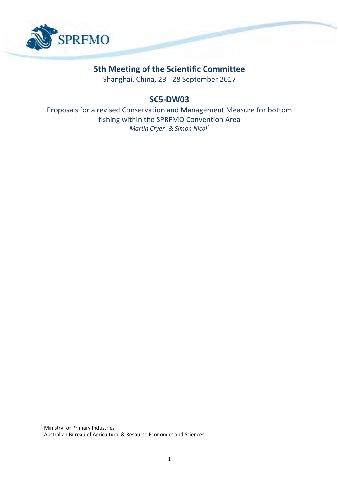

# **5th Meeting of the Scientific Committee**

Shanghai, China, 23 - 28 September 2017

# **SC5-DW03**

Proposals for a revised Conservation and Management Measure for bottom fishing within the SPRFMO Convention Area *Martin Cryer<sup>1</sup> & Simon Nicol<sup>2</sup>*

1

<sup>&</sup>lt;sup>1</sup> Ministry for Primary Industries

<sup>2</sup> Australian Bureau of Agricultural & Resource Economics and Sciences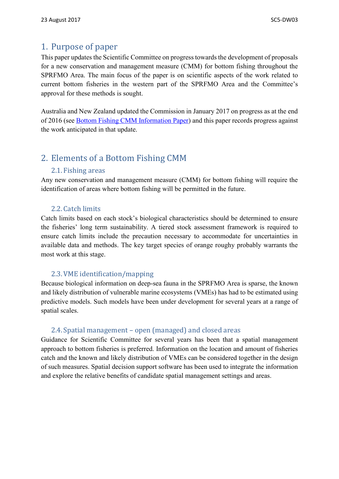### 1. Purpose of paper

This paper updates the Scientific Committee on progress towards the development of proposals for a new conservation and management measure (CMM) for bottom fishing throughout the SPRFMO Area. The main focus of the paper is on scientific aspects of the work related to current bottom fisheries in the western part of the SPRFMO Area and the Committee's approval for these methods is sought.

Australia and New Zealand updated the Commission in January 2017 on progress as at the end of 2016 (see [Bottom Fishing CMM Information Paper\)](http://www.sprfmo.int/assets/01-Commission-2017/COMM5-INF05-Bottom-Fishing-CMM-Information-paper-a.pdf) and this paper records progress against the work anticipated in that update.

## 2. Elements of a Bottom Fishing CMM

#### 2.1. Fishing areas

Any new conservation and management measure (CMM) for bottom fishing will require the identification of areas where bottom fishing will be permitted in the future.

### 2.2. Catch limits

Catch limits based on each stock's biological characteristics should be determined to ensure the fisheries' long term sustainability. A tiered stock assessment framework is required to ensure catch limits include the precaution necessary to accommodate for uncertainties in available data and methods. The key target species of orange roughy probably warrants the most work at this stage.

### 2.3.VME identification/mapping

Because biological information on deep-sea fauna in the SPRFMO Area is sparse, the known and likely distribution of vulnerable marine ecosystems (VMEs) has had to be estimated using predictive models. Such models have been under development for several years at a range of spatial scales.

### 2.4. Spatial management – open (managed) and closed areas

Guidance for Scientific Committee for several years has been that a spatial management approach to bottom fisheries is preferred. Information on the location and amount of fisheries catch and the known and likely distribution of VMEs can be considered together in the design of such measures. Spatial decision support software has been used to integrate the information and explore the relative benefits of candidate spatial management settings and areas.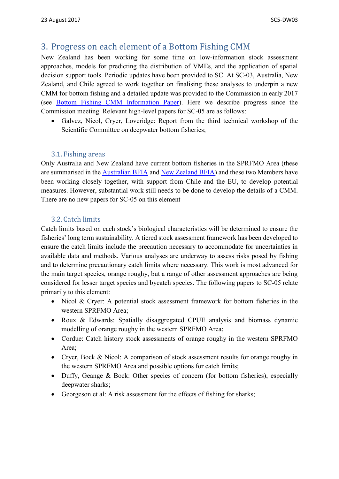## 3. Progress on each element of a Bottom Fishing CMM

New Zealand has been working for some time on low-information stock assessment approaches, models for predicting the distribution of VMEs, and the application of spatial decision support tools. Periodic updates have been provided to SC. At SC-03, Australia, New Zealand, and Chile agreed to work together on finalising these analyses to underpin a new CMM for bottom fishing and a detailed update was provided to the Commission in early 2017 (see [Bottom Fishing CMM Information Paper\)](http://www.sprfmo.int/assets/01-Commission-2017/COMM5-INF05-Bottom-Fishing-CMM-Information-paper-a.pdf). Here we describe progress since the Commission meeting. Relevant high-level papers for SC-05 are as follows:

• Galvez, Nicol, Cryer, Loveridge: Report from the third technical workshop of the Scientific Committee on deepwater bottom fisheries;

### 3.1. Fishing areas

Only Australia and New Zealand have current bottom fisheries in the SPRFMO Area (these are summarised in the [Australian](http://www.sprfmo.int/assets/Meetings/Meetings-before-2013/Scientific-Working-Group/SWG-10-2011/SWG-10-DW-01a-Australian-BFIA-Final-Report.pdf) BFIA and [New Zealand BFIA\)](http://www.sprfmo.int/assets/Meetings/Meetings-before-2013/Scientific-Working-Group/SWG-06-2008/a-Miscellaneous-Documents/New-Zealand-Bottom-Fishery-Impact-Assessment-v1.3-2009-05-13.pdf) and these two Members have been working closely together, with support from Chile and the EU, to develop potential measures. However, substantial work still needs to be done to develop the details of a CMM. There are no new papers for SC-05 on this element

### 3.2. Catch limits

Catch limits based on each stock's biological characteristics will be determined to ensure the fisheries' long term sustainability. A tiered stock assessment framework has been developed to ensure the catch limits include the precaution necessary to accommodate for uncertainties in available data and methods. Various analyses are underway to assess risks posed by fishing and to determine precautionary catch limits where necessary. This work is most advanced for the main target species, orange roughy, but a range of other assessment approaches are being considered for lesser target species and bycatch species. The following papers to SC-05 relate primarily to this element:

- Nicol & Cryer: A potential stock assessment framework for bottom fisheries in the western SPRFMO Area;
- Roux & Edwards: Spatially disaggregated CPUE analysis and biomass dynamic modelling of orange roughy in the western SPRFMO Area;
- Cordue: Catch history stock assessments of orange roughy in the western SPRFMO Area;
- Cryer, Bock & Nicol: A comparison of stock assessment results for orange roughy in the western SPRFMO Area and possible options for catch limits;
- Duffy, Geange & Bock: Other species of concern (for bottom fisheries), especially deepwater sharks;
- Georgeson et al: A risk assessment for the effects of fishing for sharks;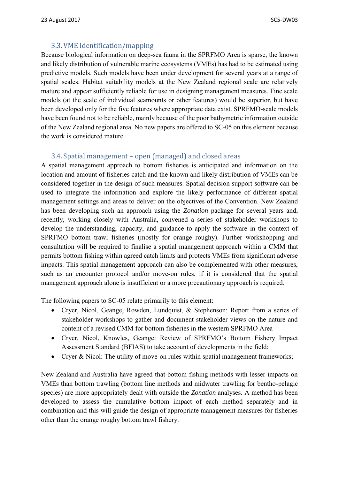### 3.3.VME identification/mapping

Because biological information on deep-sea fauna in the SPRFMO Area is sparse, the known and likely distribution of vulnerable marine ecosystems (VMEs) has had to be estimated using predictive models. Such models have been under development for several years at a range of spatial scales. Habitat suitability models at the New Zealand regional scale are relatively mature and appear sufficiently reliable for use in designing management measures. Fine scale models (at the scale of individual seamounts or other features) would be superior, but have been developed only for the five features where appropriate data exist. SPRFMO-scale models have been found not to be reliable, mainly because of the poor bathymetric information outside of the New Zealand regional area. No new papers are offered to SC-05 on this element because the work is considered mature.

### 3.4. Spatial management – open (managed) and closed areas

A spatial management approach to bottom fisheries is anticipated and information on the location and amount of fisheries catch and the known and likely distribution of VMEs can be considered together in the design of such measures. Spatial decision support software can be used to integrate the information and explore the likely performance of different spatial management settings and areas to deliver on the objectives of the Convention. New Zealand has been developing such an approach using the *Zonation* package for several years and, recently, working closely with Australia, convened a series of stakeholder workshops to develop the understanding, capacity, and guidance to apply the software in the context of SPRFMO bottom trawl fisheries (mostly for orange roughy). Further workshopping and consultation will be required to finalise a spatial management approach within a CMM that permits bottom fishing within agreed catch limits and protects VMEs from significant adverse impacts. This spatial management approach can also be complemented with other measures, such as an encounter protocol and/or move-on rules, if it is considered that the spatial management approach alone is insufficient or a more precautionary approach is required.

The following papers to SC-05 relate primarily to this element:

- Cryer, Nicol, Geange, Rowden, Lundquist, & Stephenson: Report from a series of stakeholder workshops to gather and document stakeholder views on the nature and content of a revised CMM for bottom fisheries in the western SPRFMO Area
- Cryer, Nicol, Knowles, Geange: Review of SPRFMO's Bottom Fishery Impact Assessment Standard (BFIAS) to take account of developments in the field;
- Cryer & Nicol: The utility of move-on rules within spatial management frameworks;

New Zealand and Australia have agreed that bottom fishing methods with lesser impacts on VMEs than bottom trawling (bottom line methods and midwater trawling for bentho-pelagic species) are more appropriately dealt with outside the *Zonation* analyses. A method has been developed to assess the cumulative bottom impact of each method separately and in combination and this will guide the design of appropriate management measures for fisheries other than the orange roughy bottom trawl fishery.